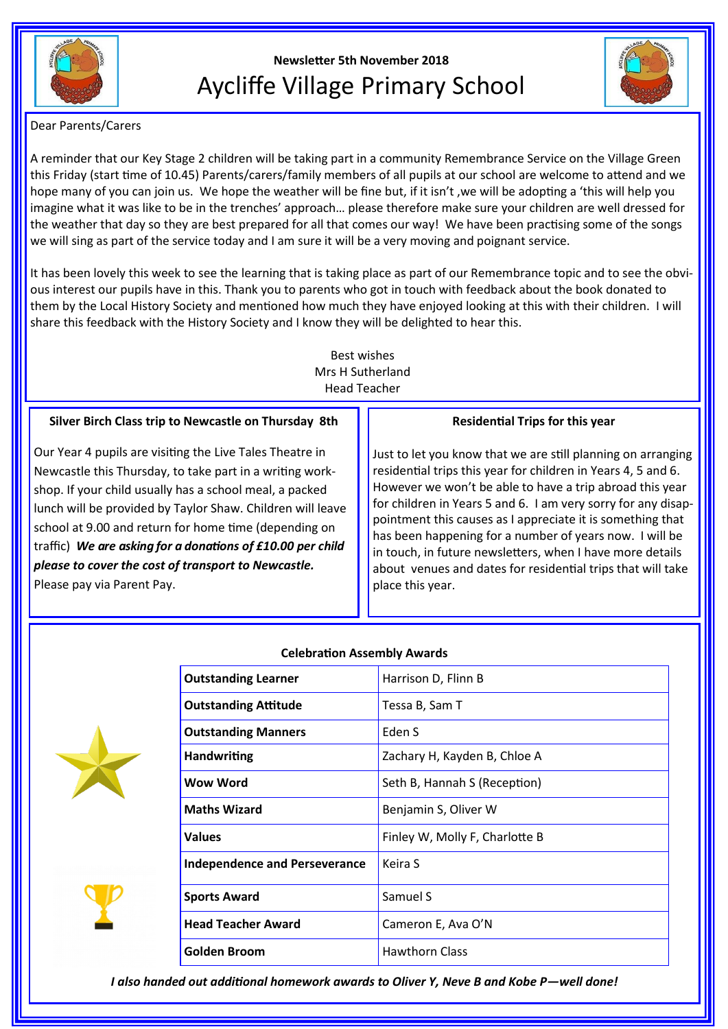

# **Newsletter 5th November 2018** Aycliffe Village Primary School



Dear Parents/Carers

A reminder that our Key Stage 2 children will be taking part in a community Remembrance Service on the Village Green this Friday (start time of 10.45) Parents/carers/family members of all pupils at our school are welcome to attend and we hope many of you can join us. We hope the weather will be fine but, if it isn't ,we will be adopting a 'this will help you imagine what it was like to be in the trenches' approach… please therefore make sure your children are well dressed for the weather that day so they are best prepared for all that comes our way! We have been practising some of the songs we will sing as part of the service today and I am sure it will be a very moving and poignant service.

It has been lovely this week to see the learning that is taking place as part of our Remembrance topic and to see the obvious interest our pupils have in this. Thank you to parents who got in touch with feedback about the book donated to them by the Local History Society and mentioned how much they have enjoyed looking at this with their children. I will share this feedback with the History Society and I know they will be delighted to hear this.

> Best wishes Mrs H Sutherland Head Teacher

# **Silver Birch Class trip to Newcastle on Thursday 8th**

Our Year 4 pupils are visiting the Live Tales Theatre in Newcastle this Thursday, to take part in a writing workshop. If your child usually has a school meal, a packed lunch will be provided by Taylor Shaw. Children will leave school at 9.00 and return for home time (depending on traffic) *We are asking for a donations of £10.00 per child please to cover the cost of transport to Newcastle.*  Please pay via Parent Pay.

# **Residential Trips for this year**

Just to let you know that we are still planning on arranging residential trips this year for children in Years 4, 5 and 6. However we won't be able to have a trip abroad this year for children in Years 5 and 6. I am very sorry for any disappointment this causes as I appreciate it is something that has been happening for a number of years now. I will be in touch, in future newsletters, when I have more details about venues and dates for residential trips that will take place this year.



## **Celebration Assembly Awards**

| <b>Outstanding Learner</b>           | Harrison D, Flinn B            |
|--------------------------------------|--------------------------------|
| <b>Outstanding Attitude</b>          | Tessa B, Sam T                 |
| <b>Outstanding Manners</b>           | Eden S                         |
| <b>Handwriting</b>                   | Zachary H, Kayden B, Chloe A   |
| <b>Wow Word</b>                      | Seth B, Hannah S (Reception)   |
| <b>Maths Wizard</b>                  | Benjamin S, Oliver W           |
| Values                               | Finley W, Molly F, Charlotte B |
| <b>Independence and Perseverance</b> | Keira S                        |
| <b>Sports Award</b>                  | Samuel S                       |
| <b>Head Teacher Award</b>            | Cameron E, Ava O'N             |
| Golden Broom                         | <b>Hawthorn Class</b>          |

*I also handed out additional homework awards to Oliver Y, Neve B and Kobe P—well done!*